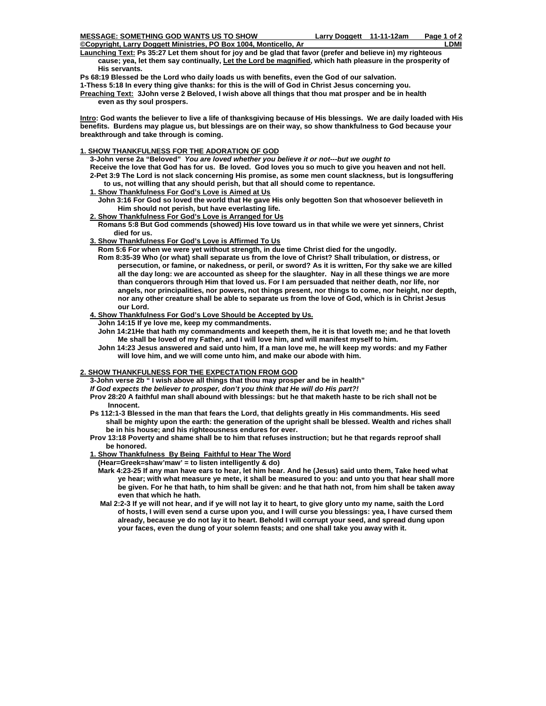**MESSAGE: SOMETHING GOD WANTS US TO SHOW LARRY Doggett 11-11-12am Page 1 of 2** 

- **Copyright, Larry Doggett Ministries, PO Box 1004, Monticello, Ar LDMI Launching Text: Ps 35:27 Let them shout for joy and be glad that favor (prefer and believe in) my righteous cause; yea, let them say continually, Let the Lord be magnified, which hath pleasure in the prosperity of His servants.**
- **Ps 68:19 Blessed be the Lord who daily loads us with benefits, even the God of our salvation.**

**1-Thess 5:18 In every thing give thanks: for this is the will of God in Christ Jesus concerning you.** 

**Preaching Text: 3John verse 2 Beloved, I wish above all things that thou mat prosper and be in health even as thy soul prospers.** 

**Intro: God wants the believer to live a life of thanksgiving because of His blessings. We are daily loaded with His benefits. Burdens may plague us, but blessings are on their way, so show thankfulness to God because your breakthrough and take through is coming.** 

## **1. SHOW THANKFULNESS FOR THE ADORATION OF GOD**

 **3-John verse 2a "Beloved"** *You are loved whether you believe it or not---but we ought to*   **Receive the love that God has for us. Be loved. God loves you so much to give you heaven and not hell. 2-Pet 3:9 The Lord is not slack concerning His promise, as some men count slackness, but is longsuffering to us, not willing that any should perish, but that all should come to repentance.** 

- **1. Show Thankfulness For God's Love is Aimed at Us**
	- **John 3:16 For God so loved the world that He gave His only begotten Son that whosoever believeth in Him should not perish, but have everlasting life.**

## **2. Show Thankfulness For God's Love is Arranged for Us**

 **Romans 5:8 But God commends (showed) His love toward us in that while we were yet sinners, Christ died for us.** 

## **3. Show Thankfulness For God's Love is Affirmed To Us**

- **Rom 5:6 For when we were yet without strength, in due time Christ died for the ungodly.**
- **Rom 8:35-39 Who (or what) shall separate us from the love of Christ? Shall tribulation, or distress, or persecution, or famine, or nakedness, or peril, or sword? As it is written, For thy sake we are killed all the day long: we are accounted as sheep for the slaughter. Nay in all these things we are more than conquerors through Him that loved us. For I am persuaded that neither death, nor life, nor angels, nor principalities, nor powers, not things present, nor things to come, nor height, nor depth, nor any other creature shall be able to separate us from the love of God, which is in Christ Jesus our Lord.**

## **4. Show Thankfulness For God's Love Should be Accepted by Us.**

- **John 14:15 If ye love me, keep my commandments.**
- **John 14:21He that hath my commandments and keepeth them, he it is that loveth me; and he that loveth Me shall be loved of my Father, and I will love him, and will manifest myself to him.**
- **John 14:23 Jesus answered and said unto him, If a man love me, he will keep my words: and my Father will love him, and we will come unto him, and make our abode with him.**

# **2. SHOW THANKFULNESS FOR THE EXPECTATION FROM GOD**

 **3-John verse 2b " I wish above all things that thou may prosper and be in health"** 

*If God expects the believer to prosper, don't you think that He will do His part?!* 

- **Prov 28:20 A faithful man shall abound with blessings: but he that maketh haste to be rich shall not be Innocent.**
- **Ps 112:1-3 Blessed in the man that fears the Lord, that delights greatly in His commandments. His seed shall be mighty upon the earth: the generation of the upright shall be blessed. Wealth and riches shall be in his house; and his righteousness endures for ever.**
- **Prov 13:18 Poverty and shame shall be to him that refuses instruction; but he that regards reproof shall be honored.**

### **1. Show Thankfulness By Being Faithful to Hear The Word**

- **(Hear=Greek=shaw'maw' = to listen intelligently & do)**
- **Mark 4:23-25 If any man have ears to hear, let him hear. And he (Jesus) said unto them, Take heed what ye hear; with what measure ye mete, it shall be measured to you: and unto you that hear shall more be given. For he that hath, to him shall be given: and he that hath not, from him shall be taken away even that which he hath.**
- **Mal 2:2-3 If ye will not hear, and if ye will not lay it to heart, to give glory unto my name, saith the Lord of hosts, I will even send a curse upon you, and I will curse you blessings: yea, I have cursed them already, because ye do not lay it to heart. Behold I will corrupt your seed, and spread dung upon your faces, even the dung of your solemn feasts; and one shall take you away with it.**